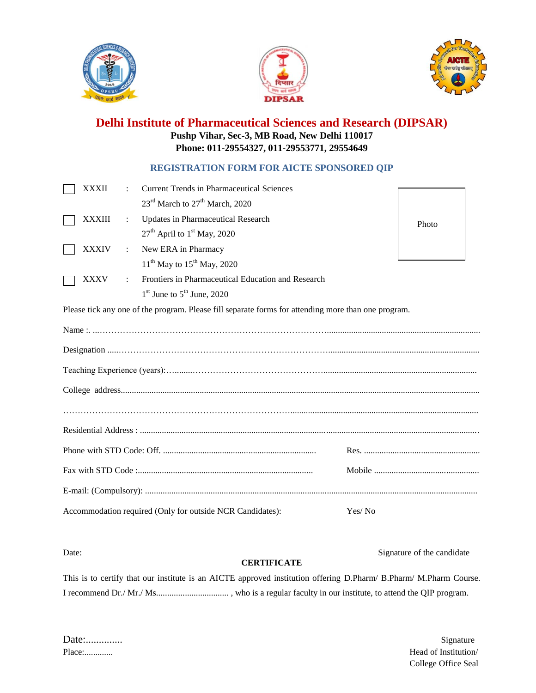





## **Delhi Institute of Pharmaceutical Sciences and Research (DIPSAR) Pushp Vihar, Sec-3, MB Road, New Delhi 110017 Phone: 011-29554327, 011-29553771, 29554649**

## **REGISTRATION FORM FOR AICTE SPONSORED QIP**

| <b>XXXII</b>                                              |           | <b>Current Trends in Pharmaceutical Sciences</b>                                                    |        |       |  |
|-----------------------------------------------------------|-----------|-----------------------------------------------------------------------------------------------------|--------|-------|--|
|                                                           |           | 23 <sup>rd</sup> March to 27 <sup>th</sup> March, 2020                                              |        |       |  |
| <b>XXXIII</b>                                             | ÷         | Updates in Pharmaceutical Research                                                                  |        | Photo |  |
|                                                           |           | $27th$ April to $1st$ May, 2020                                                                     |        |       |  |
| <b>XXXIV</b>                                              | ÷         | New ERA in Pharmacy                                                                                 |        |       |  |
|                                                           |           | $11^{th}$ May to $15^{th}$ May, 2020                                                                |        |       |  |
| <b>XXXV</b>                                               | $\bullet$ | Frontiers in Pharmaceutical Education and Research                                                  |        |       |  |
|                                                           |           | $1st$ June to $5th$ June, 2020                                                                      |        |       |  |
|                                                           |           | Please tick any one of the program. Please fill separate forms for attending more than one program. |        |       |  |
|                                                           |           |                                                                                                     |        |       |  |
|                                                           |           |                                                                                                     |        |       |  |
|                                                           |           |                                                                                                     |        |       |  |
|                                                           |           |                                                                                                     |        |       |  |
|                                                           |           |                                                                                                     |        |       |  |
|                                                           |           |                                                                                                     |        |       |  |
|                                                           |           |                                                                                                     |        |       |  |
|                                                           |           |                                                                                                     |        |       |  |
|                                                           |           |                                                                                                     |        |       |  |
|                                                           |           |                                                                                                     |        |       |  |
| Accommodation required (Only for outside NCR Candidates): |           |                                                                                                     | Yes/No |       |  |

## **CERTIFICATE**

Date: Signature of the candidate

This is to certify that our institute is an AICTE approved institution offering D.Pharm/ B.Pharm/ M.Pharm Course. I recommend Dr./ Mr./ Ms................................. , who is a regular faculty in our institute, to attend the QIP program.

Date:.............. Signature

Place:............. Head of Institution/ College Office Seal